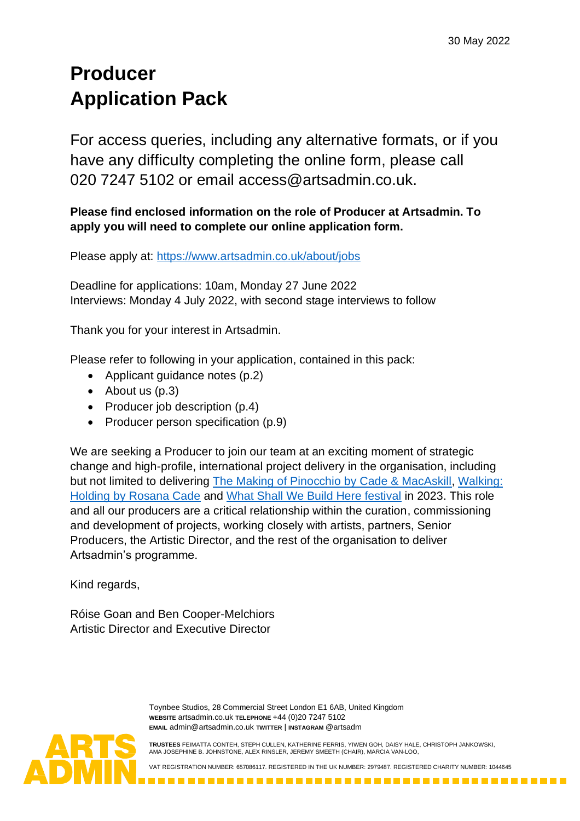# **Producer Application Pack**

For access queries, including any alternative formats, or if you have any difficulty completing the online form, please call 020 7247 5102 or email access@artsadmin.co.uk.

# **Please find enclosed information on the role of Producer at Artsadmin. To apply you will need to complete our online application form.**

Please apply at:<https://www.artsadmin.co.uk/about/jobs>

Deadline for applications: 10am, Monday 27 June 2022 Interviews: Monday 4 July 2022, with second stage interviews to follow

Thank you for your interest in Artsadmin.

Please refer to following in your application, contained in this pack:

- Applicant guidance notes (p.2)
- About us (p.3)
- Producer job description (p.4)
- Producer person specification (p.9)

We are seeking a Producer to join our team at an exciting moment of strategic change and high-profile, international project delivery in the organisation, including but not limited to delivering [The Making of Pinocchio by Cade & MacAskill,](https://www.artsadmin.co.uk/project/the-making-of-pinocchio/) [Walking:](https://www.artsadmin.co.uk/project/walking-holding/)  [Holding by Rosana Cade](https://www.artsadmin.co.uk/project/walking-holding/) and [What Shall We Build Here festival](https://www.artsadmin.co.uk/events/what-shall-we-build-here/) in 2023. This role and all our producers are a critical relationship within the curation, commissioning and development of projects, working closely with artists, partners, Senior Producers, the Artistic Director, and the rest of the organisation to deliver Artsadmin's programme.

Kind regards,

Róise Goan and Ben Cooper-Melchiors Artistic Director and Executive Director

> Toynbee Studios, 28 Commercial Street London E1 6AB, United Kingdom **WEBSITE** artsadmin.co.uk **TELEPHONE** +44 (0)20 7247 5102 **EMAIL** [admin@artsadmin.co.uk](mailto:admin@artsadmin.co.uk) **TWITTER** | **INSTAGRAM** @artsadm

**TRUSTEES** FEIMATTA CONTEH, STEPH CULLEN, KATHERINE FERRIS, YIWEN GOH, DAISY HALE, CHRISTOPH JANKOWSKI, AMA JOSEPHINE B. JOHNSTONE, ALEX RINSLER, JEREMY SMEETH (CHAIR), MARCIA VAN-LOO,

VAT REGISTRATION NUMBER: 657086117. REGISTERED IN THE UK NUMBER: 2979487. REGISTERED CHARITY NUMBER: 1044645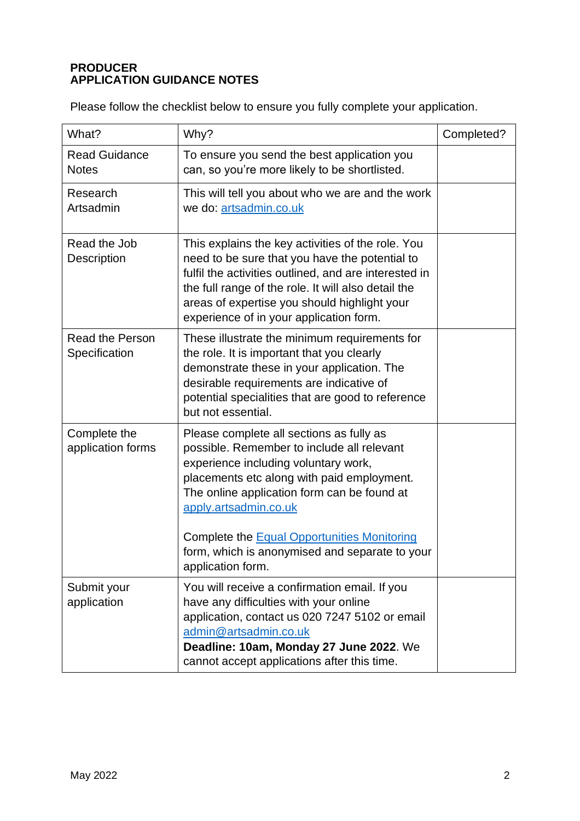# **PRODUCER APPLICATION GUIDANCE NOTES**

Please follow the checklist below to ensure you fully complete your application.

| What?                                   | Why?                                                                                                                                                                                                                                                                                                                                                                              | Completed? |
|-----------------------------------------|-----------------------------------------------------------------------------------------------------------------------------------------------------------------------------------------------------------------------------------------------------------------------------------------------------------------------------------------------------------------------------------|------------|
| <b>Read Guidance</b><br><b>Notes</b>    | To ensure you send the best application you<br>can, so you're more likely to be shortlisted.                                                                                                                                                                                                                                                                                      |            |
| Research<br>Artsadmin                   | This will tell you about who we are and the work<br>we do: artsadmin.co.uk                                                                                                                                                                                                                                                                                                        |            |
| Read the Job<br>Description             | This explains the key activities of the role. You<br>need to be sure that you have the potential to<br>fulfil the activities outlined, and are interested in<br>the full range of the role. It will also detail the<br>areas of expertise you should highlight your<br>experience of in your application form.                                                                    |            |
| <b>Read the Person</b><br>Specification | These illustrate the minimum requirements for<br>the role. It is important that you clearly<br>demonstrate these in your application. The<br>desirable requirements are indicative of<br>potential specialities that are good to reference<br>but not essential.                                                                                                                  |            |
| Complete the<br>application forms       | Please complete all sections as fully as<br>possible. Remember to include all relevant<br>experience including voluntary work,<br>placements etc along with paid employment.<br>The online application form can be found at<br>apply.artsadmin.co.uk<br>Complete the <b>Equal Opportunities Monitoring</b><br>form, which is anonymised and separate to your<br>application form. |            |
| Submit your<br>application              | You will receive a confirmation email. If you<br>have any difficulties with your online<br>application, contact us 020 7247 5102 or email<br>admin@artsadmin.co.uk<br>Deadline: 10am, Monday 27 June 2022. We<br>cannot accept applications after this time.                                                                                                                      |            |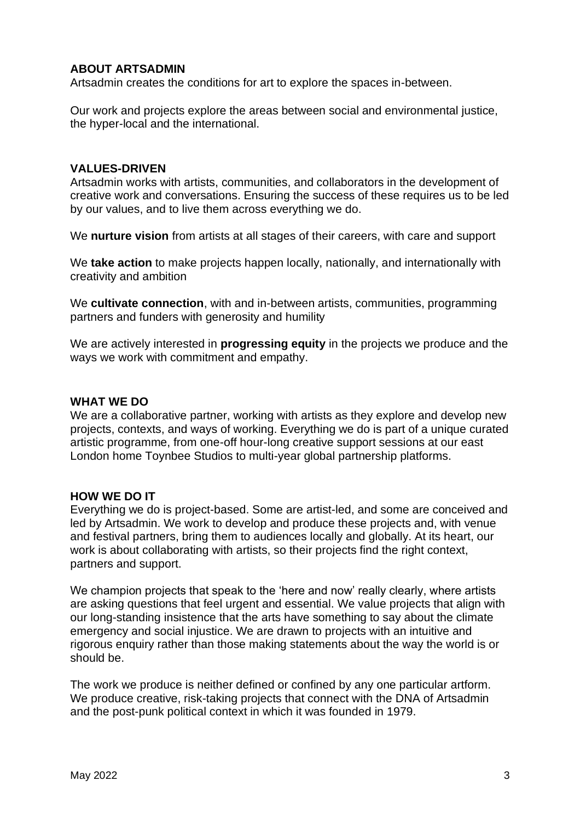#### **ABOUT ARTSADMIN**

Artsadmin creates the conditions for art to explore the spaces in-between.

Our work and projects explore the areas between social and environmental justice, the hyper-local and the international.

#### **VALUES-DRIVEN**

Artsadmin works with artists, communities, and collaborators in the development of creative work and conversations. Ensuring the success of these requires us to be led by our values, and to live them across everything we do.

We **nurture vision** from artists at all stages of their careers, with care and support

We **take action** to make projects happen locally, nationally, and internationally with creativity and ambition

We **cultivate connection**, with and in-between artists, communities, programming partners and funders with generosity and humility

We are actively interested in **progressing equity** in the projects we produce and the ways we work with commitment and empathy.

#### **WHAT WE DO**

We are a collaborative partner, working with artists as they explore and develop new projects, contexts, and ways of working. Everything we do is part of a unique curated artistic programme, from one-off hour-long creative support sessions at our east London home Toynbee Studios to multi-year global partnership platforms.

#### **HOW WE DO IT**

Everything we do is project-based. Some are artist-led, and some are conceived and led by Artsadmin. We work to develop and produce these projects and, with venue and festival partners, bring them to audiences locally and globally. At its heart, our work is about collaborating with artists, so their projects find the right context, partners and support.

We champion projects that speak to the 'here and now' really clearly, where artists are asking questions that feel urgent and essential. We value projects that align with our long-standing insistence that the arts have something to say about the climate emergency and social injustice. We are drawn to projects with an intuitive and rigorous enquiry rather than those making statements about the way the world is or should be.

The work we produce is neither defined or confined by any one particular artform. We produce creative, risk-taking projects that connect with the DNA of Artsadmin and the post-punk political context in which it was founded in 1979.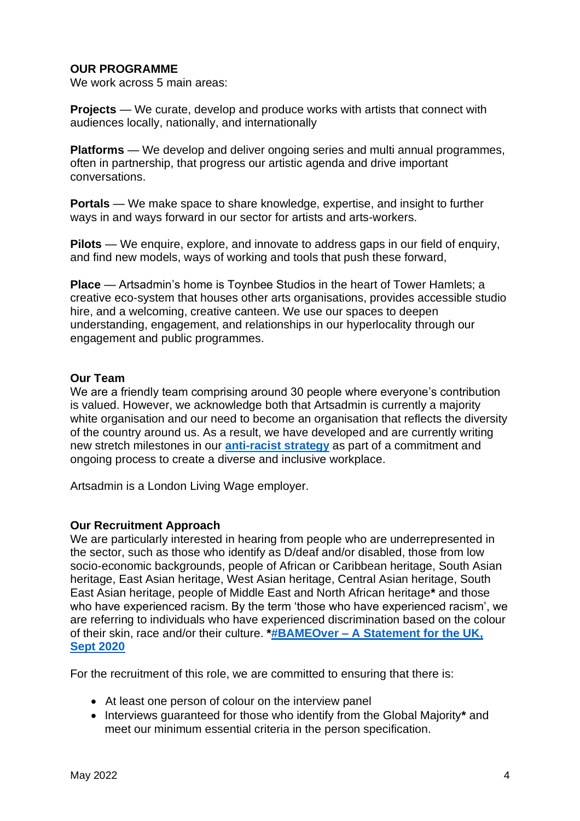#### **OUR PROGRAMME**

We work across 5 main areas:

**Projects** — We curate, develop and produce works with artists that connect with audiences locally, nationally, and internationally

**Platforms** — We develop and deliver ongoing series and multi annual programmes, often in partnership, that progress our artistic agenda and drive important conversations.

**Portals** — We make space to share knowledge, expertise, and insight to further ways in and ways forward in our sector for artists and arts-workers.

**Pilots** — We enquire, explore, and innovate to address gaps in our field of enquiry, and find new models, ways of working and tools that push these forward,

**Place** — Artsadmin's home is Toynbee Studios in the heart of Tower Hamlets; a creative eco-system that houses other arts organisations, provides accessible studio hire, and a welcoming, creative canteen. We use our spaces to deepen understanding, engagement, and relationships in our hyperlocality through our engagement and public programmes.

#### **Our Team**

We are a friendly team comprising around 30 people where everyone's contribution is valued. However, we acknowledge both that Artsadmin is currently a majority white organisation and our need to become an organisation that reflects the diversity of the country around us. As a result, we have developed and are currently writing new stretch milestones in our **[anti-racist strategy](https://www.artsadmin.co.uk/about/our-policies/anti-racism-policy/)** as part of a commitment and ongoing process to create a diverse and inclusive workplace.

Artsadmin is a London Living Wage employer.

#### **Our Recruitment Approach**

We are particularly interested in hearing from people who are underrepresented in the sector, such as those who identify as D/deaf and/or disabled, those from low socio-economic backgrounds, people of African or Caribbean heritage, South Asian heritage, East Asian heritage, West Asian heritage, Central Asian heritage, South East Asian heritage, people of Middle East and North African heritage**\*** and those who have experienced racism. By the term 'those who have experienced racism', we are referring to individuals who have experienced discrimination based on the colour of their skin, race and/or their culture. **\*#BAMEOver – [A Statement for the UK,](mailto:https://docs.google.com/document/d/e/2PACX-1vQkg5IIoeAqMjMF6VW-eIEtEUEgK3GLudW1meE2DILbJPZYPiP0dO3Qwx6YVxBFxOhI1KEp5swpok80/pub)  [Sept 2020](mailto:https://docs.google.com/document/d/e/2PACX-1vQkg5IIoeAqMjMF6VW-eIEtEUEgK3GLudW1meE2DILbJPZYPiP0dO3Qwx6YVxBFxOhI1KEp5swpok80/pub)**

For the recruitment of this role, we are committed to ensuring that there is:

- At least one person of colour on the interview panel
- Interviews guaranteed for those who identify from the Global Majority**\*** and meet our minimum essential criteria in the person specification.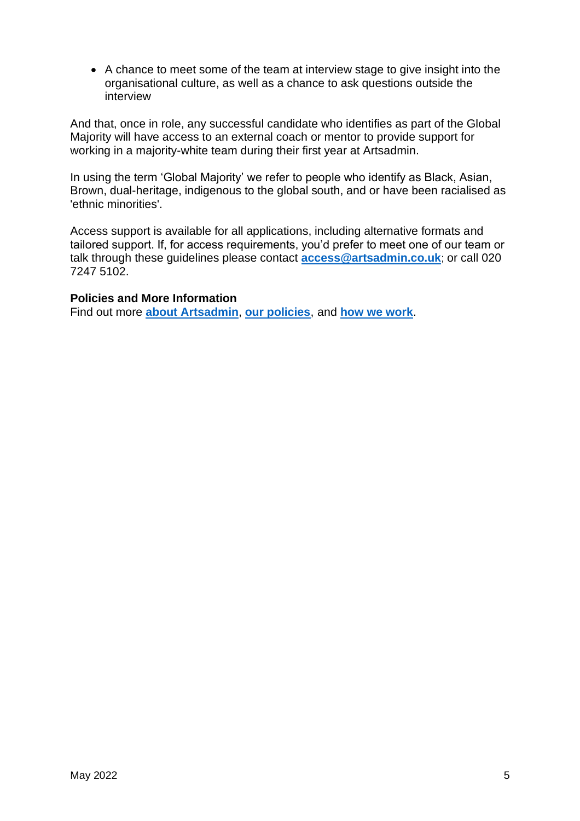• A chance to meet some of the team at interview stage to give insight into the organisational culture, as well as a chance to ask questions outside the interview

And that, once in role, any successful candidate who identifies as part of the Global Majority will have access to an external coach or mentor to provide support for working in a majority-white team during their first year at Artsadmin.

In using the term 'Global Majority' we refer to people who identify as Black, Asian, Brown, dual-heritage, indigenous to the global south, and or have been racialised as 'ethnic minorities'.

Access support is available for all applications, including alternative formats and tailored support. If, for access requirements, you'd prefer to meet one of our team or talk through these guidelines please contact **[access@artsadmin.co.uk](mailto:access@artsadmin.co.uk)**; or call 020 7247 5102.

#### **Policies and More Information**

Find out more **[about Artsadmin](https://www.artsadmin.co.uk/about/)**, **[our policies](https://www.artsadmin.co.uk/about/our-policies/)**, and **[how we work](https://www.artsadmin.co.uk/about/how-we-work/)**.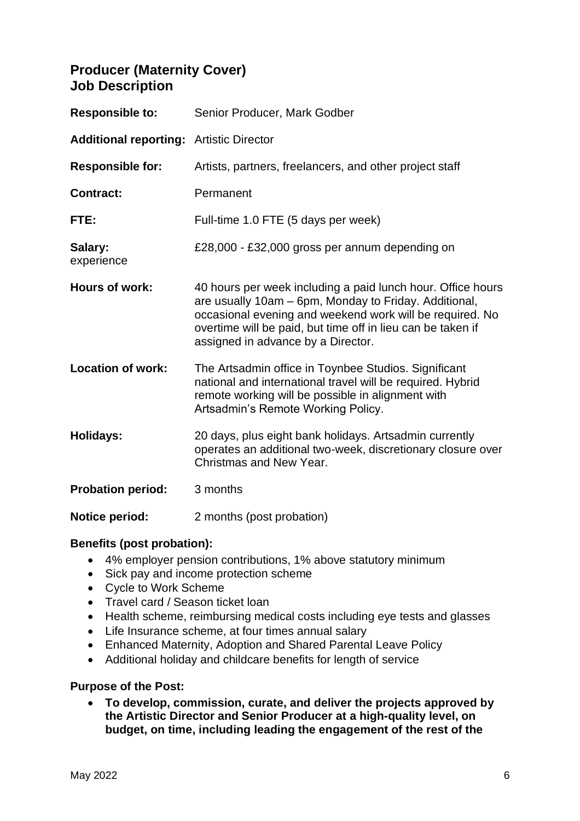# **Producer (Maternity Cover) Job Description**

| <b>Responsible to:</b>                         | Senior Producer, Mark Godber                                                                                                                                                                                                                                                          |
|------------------------------------------------|---------------------------------------------------------------------------------------------------------------------------------------------------------------------------------------------------------------------------------------------------------------------------------------|
| <b>Additional reporting: Artistic Director</b> |                                                                                                                                                                                                                                                                                       |
| <b>Responsible for:</b>                        | Artists, partners, freelancers, and other project staff                                                                                                                                                                                                                               |
| <b>Contract:</b>                               | Permanent                                                                                                                                                                                                                                                                             |
| FTE:                                           | Full-time 1.0 FTE (5 days per week)                                                                                                                                                                                                                                                   |
| Salary:<br>experience                          | £28,000 - £32,000 gross per annum depending on                                                                                                                                                                                                                                        |
| Hours of work:                                 | 40 hours per week including a paid lunch hour. Office hours<br>are usually 10am - 6pm, Monday to Friday. Additional,<br>occasional evening and weekend work will be required. No<br>overtime will be paid, but time off in lieu can be taken if<br>assigned in advance by a Director. |
| <b>Location of work:</b>                       | The Artsadmin office in Toynbee Studios. Significant<br>national and international travel will be required. Hybrid<br>remote working will be possible in alignment with<br>Artsadmin's Remote Working Policy.                                                                         |
| <b>Holidays:</b>                               | 20 days, plus eight bank holidays. Artsadmin currently<br>operates an additional two-week, discretionary closure over<br>Christmas and New Year.                                                                                                                                      |
| <b>Probation period:</b>                       | 3 months                                                                                                                                                                                                                                                                              |
| <b>Notice period:</b>                          | 2 months (post probation)                                                                                                                                                                                                                                                             |

#### **Benefits (post probation):**

- 4% employer pension contributions, 1% above statutory minimum
- Sick pay and income protection scheme
- Cycle to Work Scheme
- Travel card / Season ticket loan
- Health scheme, reimbursing medical costs including eye tests and glasses
- Life Insurance scheme, at four times annual salary
- Enhanced Maternity, Adoption and Shared Parental Leave Policy
- Additional holiday and childcare benefits for length of service

#### **Purpose of the Post:**

• **To develop, commission, curate, and deliver the projects approved by the Artistic Director and Senior Producer at a high-quality level, on budget, on time, including leading the engagement of the rest of the**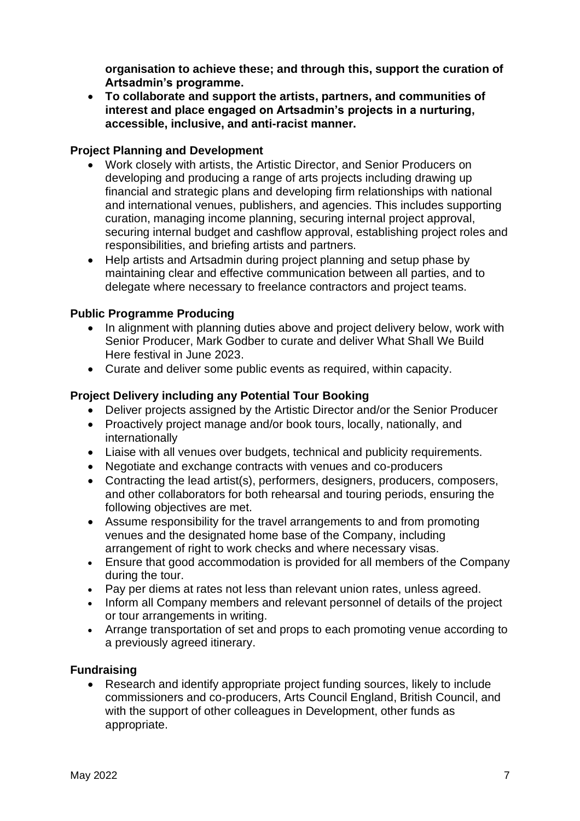**organisation to achieve these; and through this, support the curation of Artsadmin's programme.**

• **To collaborate and support the artists, partners, and communities of interest and place engaged on Artsadmin's projects in a nurturing, accessible, inclusive, and anti-racist manner.**

#### **Project Planning and Development**

- Work closely with artists, the Artistic Director, and Senior Producers on developing and producing a range of arts projects including drawing up financial and strategic plans and developing firm relationships with national and international venues, publishers, and agencies. This includes supporting curation, managing income planning, securing internal project approval, securing internal budget and cashflow approval, establishing project roles and responsibilities, and briefing artists and partners.
- Help artists and Artsadmin during project planning and setup phase by maintaining clear and effective communication between all parties, and to delegate where necessary to freelance contractors and project teams.

# **Public Programme Producing**

- In alignment with planning duties above and project delivery below, work with Senior Producer, Mark Godber to curate and deliver What Shall We Build Here festival in June 2023.
- Curate and deliver some public events as required, within capacity.

# **Project Delivery including any Potential Tour Booking**

- Deliver projects assigned by the Artistic Director and/or the Senior Producer
- Proactively project manage and/or book tours, locally, nationally, and internationally
- Liaise with all venues over budgets, technical and publicity requirements.
- Negotiate and exchange contracts with venues and co-producers
- Contracting the lead artist(s), performers, designers, producers, composers, and other collaborators for both rehearsal and touring periods, ensuring the following objectives are met.
- Assume responsibility for the travel arrangements to and from promoting venues and the designated home base of the Company, including arrangement of right to work checks and where necessary visas.
- Ensure that good accommodation is provided for all members of the Company during the tour.
- Pay per diems at rates not less than relevant union rates, unless agreed.
- Inform all Company members and relevant personnel of details of the project or tour arrangements in writing.
- Arrange transportation of set and props to each promoting venue according to a previously agreed itinerary.

#### **Fundraising**

• Research and identify appropriate project funding sources, likely to include commissioners and co-producers, Arts Council England, British Council, and with the support of other colleagues in Development, other funds as appropriate.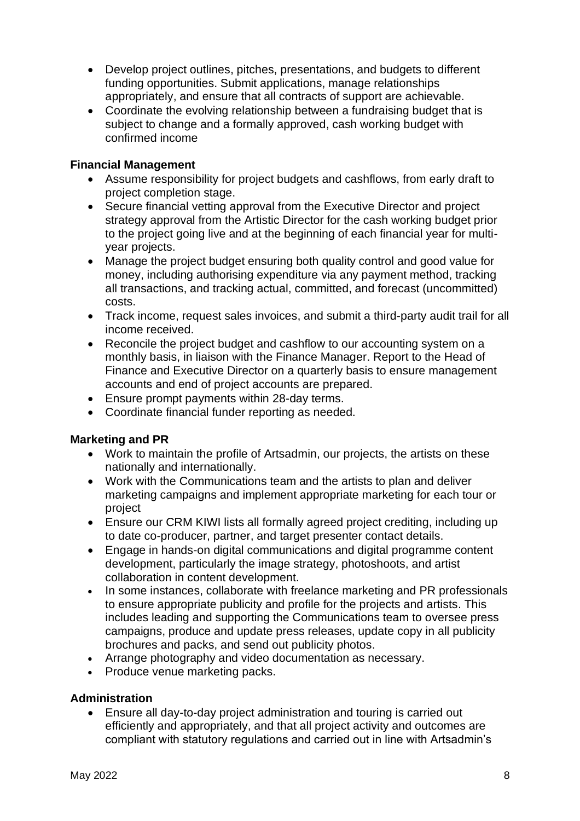- Develop project outlines, pitches, presentations, and budgets to different funding opportunities. Submit applications, manage relationships appropriately, and ensure that all contracts of support are achievable.
- Coordinate the evolving relationship between a fundraising budget that is subject to change and a formally approved, cash working budget with confirmed income

#### **Financial Management**

- Assume responsibility for project budgets and cashflows, from early draft to project completion stage.
- Secure financial vetting approval from the Executive Director and project strategy approval from the Artistic Director for the cash working budget prior to the project going live and at the beginning of each financial year for multiyear projects.
- Manage the project budget ensuring both quality control and good value for money, including authorising expenditure via any payment method, tracking all transactions, and tracking actual, committed, and forecast (uncommitted) costs.
- Track income, request sales invoices, and submit a third-party audit trail for all income received.
- Reconcile the project budget and cashflow to our accounting system on a monthly basis, in liaison with the Finance Manager. Report to the Head of Finance and Executive Director on a quarterly basis to ensure management accounts and end of project accounts are prepared.
- Ensure prompt payments within 28-day terms.
- Coordinate financial funder reporting as needed.

#### **Marketing and PR**

- Work to maintain the profile of Artsadmin, our projects, the artists on these nationally and internationally.
- Work with the Communications team and the artists to plan and deliver marketing campaigns and implement appropriate marketing for each tour or project
- Ensure our CRM KIWI lists all formally agreed project crediting, including up to date co-producer, partner, and target presenter contact details.
- Engage in hands-on digital communications and digital programme content development, particularly the image strategy, photoshoots, and artist collaboration in content development.
- In some instances, collaborate with freelance marketing and PR professionals to ensure appropriate publicity and profile for the projects and artists. This includes leading and supporting the Communications team to oversee press campaigns, produce and update press releases, update copy in all publicity brochures and packs, and send out publicity photos.
- Arrange photography and video documentation as necessary.
- Produce venue marketing packs.

#### **Administration**

• Ensure all day-to-day project administration and touring is carried out efficiently and appropriately, and that all project activity and outcomes are compliant with statutory regulations and carried out in line with Artsadmin's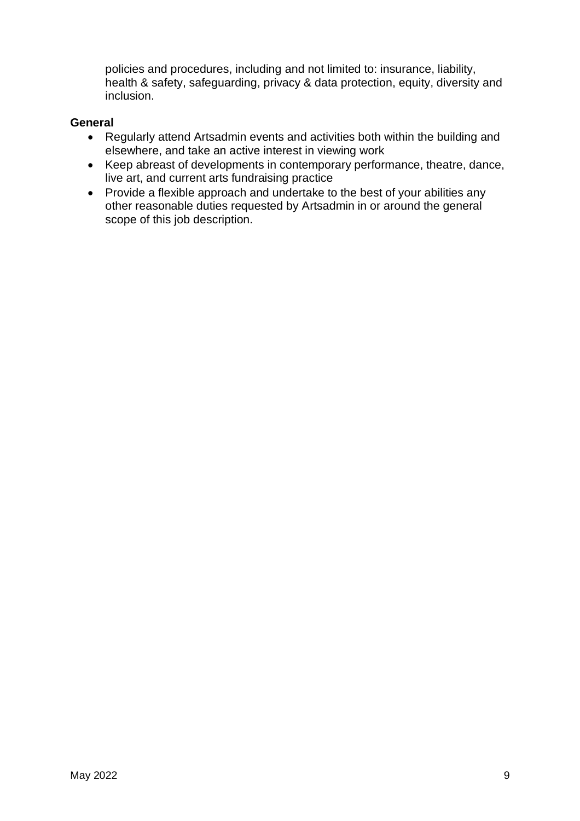policies and procedures, including and not limited to: insurance, liability, health & safety, safeguarding, privacy & data protection, equity, diversity and inclusion.

#### **General**

- Regularly attend Artsadmin events and activities both within the building and elsewhere, and take an active interest in viewing work
- Keep abreast of developments in contemporary performance, theatre, dance, live art, and current arts fundraising practice
- Provide a flexible approach and undertake to the best of your abilities any other reasonable duties requested by Artsadmin in or around the general scope of this job description.